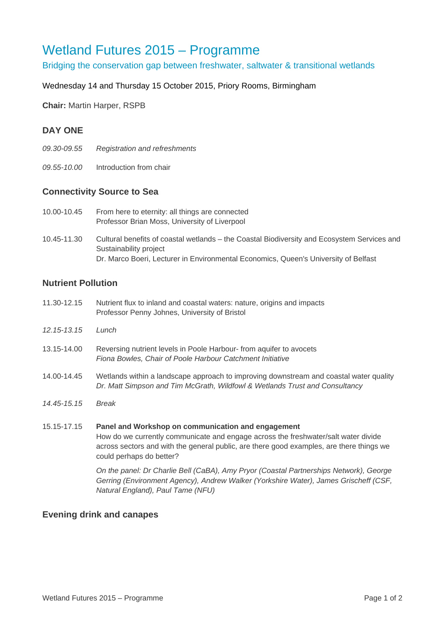# Wetland Futures 2015 – Programme

Bridging the conservation gap between freshwater, saltwater & transitional wetlands

#### Wednesday 14 and Thursday 15 October 2015, Priory Rooms, Birmingham

**Chair:** Martin Harper, RSPB

## **DAY ONE**

- *09.30-09.55 Registration and refreshments*
- *09.55-10.00* Introduction from chair

#### **Connectivity Source to Sea**

- 10.00-10.45 From here to eternity: all things are connected Professor Brian Moss, University of Liverpool
- 10.45-11.30 Cultural benefits of coastal wetlands the Coastal Biodiversity and Ecosystem Services and Sustainability project Dr. Marco Boeri, Lecturer in Environmental Economics, Queen's University of Belfast

#### **Nutrient Pollution**

- 11.30-12.15 Nutrient flux to inland and coastal waters: nature, origins and impacts Professor Penny Johnes, University of Bristol
- *12.15-13.15 Lunch*
- 13.15-14.00 Reversing nutrient levels in Poole Harbour- from aquifer to avocets *Fiona Bowles, Chair of Poole Harbour Catchment Initiative*
- 14.00-14.45 Wetlands within a landscape approach to improving downstream and coastal water quality *Dr. Matt Simpson and Tim McGrath, Wildfowl & Wetlands Trust and Consultancy*
- *14.45-15.15 Break*

# 15.15-17.15 **Panel and Workshop on communication and engagement**  How do we currently communicate and engage across the freshwater/salt water divide across sectors and with the general public, are there good examples, are there things we could perhaps do better?

*On the panel: Dr Charlie Bell (CaBA), Amy Pryor (Coastal Partnerships Network), George Gerring (Environment Agency), Andrew Walker (Yorkshire Water), James Grischeff (CSF, Natural England), Paul Tame (NFU)* 

#### **Evening drink and canapes**